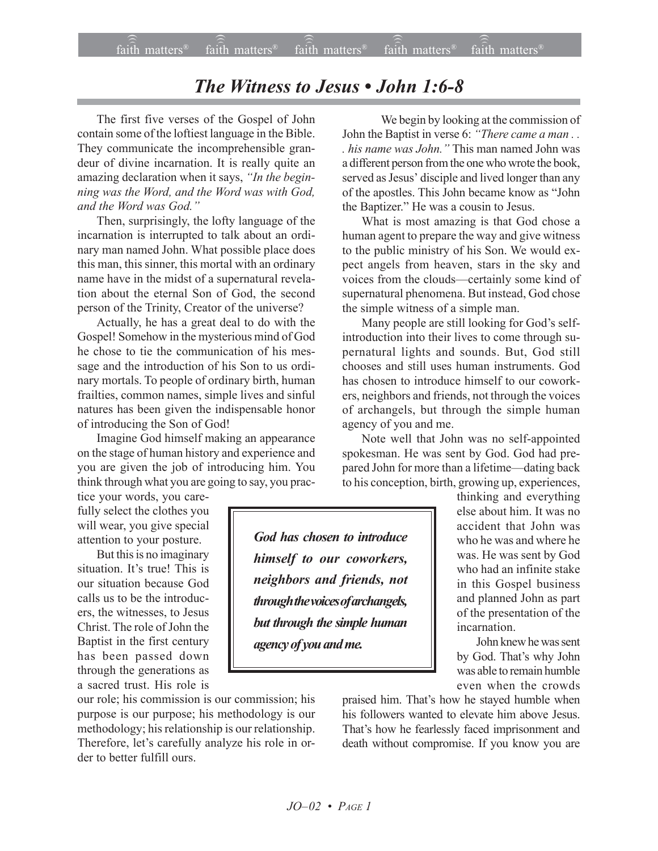## *The Witness to Jesus • John 1:6-8*

The first five verses of the Gospel of John contain some of the loftiest language in the Bible. They communicate the incomprehensible grandeur of divine incarnation. It is really quite an amazing declaration when it says, "In the begin*ning was the Word, and the Word was with God, and the Word was God.*"

Then, surprisingly, the lofty language of the incarnation is interrupted to talk about an ordinary man named John. What possible place does this man, this sinner, this mortal with an ordinary name have in the midst of a supernatural revelation about the eternal Son of God, the second person of the Trinity, Creator of the universe?

Actually, he has a great deal to do with the Gospel! Somehow in the mysterious mind of God he chose to tie the communication of his message and the introduction of his Son to us ordinary mortals. To people of ordinary birth, human frailties, common names, simple lives and sinful natures has been given the indispensable honor of introducing the Son of God!

Imagine God himself making an appearance on the stage of human history and experience and you are given the job of introducing him. You think through what you are going to say, you prac-

tice your words, you carefully select the clothes you will wear, you give special attention to your posture.

But this is no imaginary situation. It's true! This is our situation because God calls us to be the introducers, the witnesses, to Jesus Christ. The role of John the Baptist in the first century has been passed down through the generations as a sacred trust. His role is

our role; his commission is our commission; his purpose is our purpose; his methodology is our methodology; his relationship is our relationship. Therefore, let's carefully analyze his role in order to better fulfill ours.

We begin by looking at the commission of John the Baptist in verse 6: "There came a man . . *his name was John.*" This man named John was a different person from the one who wrote the book, served as Jesus' disciple and lived longer than any of the apostles. This John became know as "John the Baptizer." He was a cousin to Jesus.

What is most amazing is that God chose a human agent to prepare the way and give witness to the public ministry of his Son. We would expect angels from heaven, stars in the sky and voices from the clouds—certainly some kind of supernatural phenomena. But instead, God chose the simple witness of a simple man.

Many people are still looking for God's selfintroduction into their lives to come through supernatural lights and sounds. But, God still chooses and still uses human instruments. God has chosen to introduce himself to our coworkers, neighbors and friends, not through the voices of archangels, but through the simple human agency of you and me.

Note well that John was no self-appointed spokesman. He was sent by God. God had prepared John for more than a lifetime—dating back to his conception, birth, growing up, experiences,

*God has chosen to introduce himself to our coworkers, neighbors and friends, not through the voices of archangels, but through the simple human agency of you and me.*

thinking and everything else about him. It was no accident that John was who he was and where he was. He was sent by God who had an infinite stake in this Gospel business and planned John as part of the presentation of the incarnation.

John knew he was sent by God. That's why John was able to remain humble even when the crowds

praised him. That's how he stayed humble when his followers wanted to elevate him above Jesus. That's how he fearlessly faced imprisonment and death without compromise. If you know you are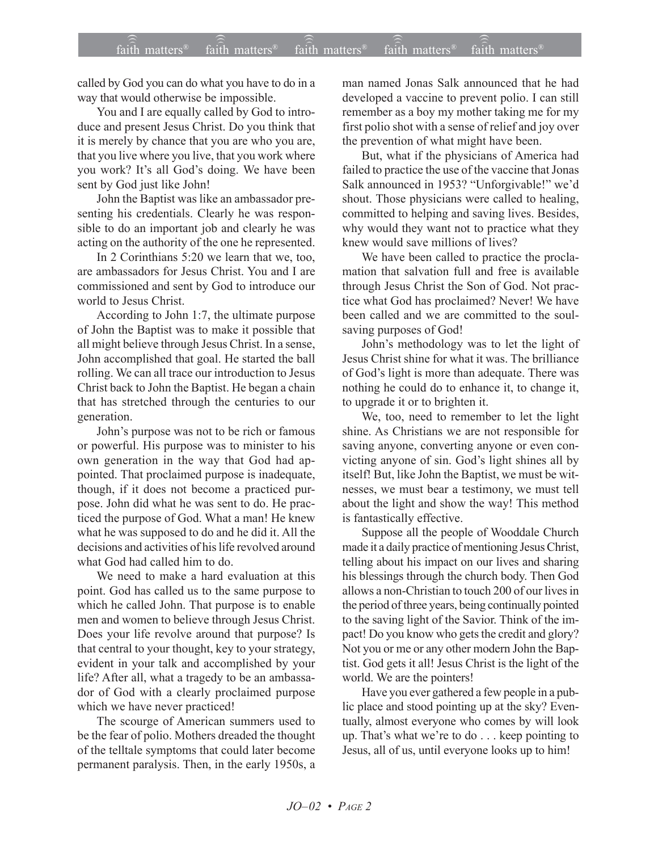called by God you can do what you have to do in a way that would otherwise be impossible.

You and I are equally called by God to introduce and present Jesus Christ. Do you think that it is merely by chance that you are who you are, that you live where you live, that you work where you work? It's all God's doing. We have been sent by God just like John!

John the Baptist was like an ambassador presenting his credentials. Clearly he was responsible to do an important job and clearly he was acting on the authority of the one he represented.

In 2 Corinthians 5:20 we learn that we, too, are ambassadors for Jesus Christ. You and I are commissioned and sent by God to introduce our world to Jesus Christ.

According to John 1:7, the ultimate purpose of John the Baptist was to make it possible that all might believe through Jesus Christ. In a sense, John accomplished that goal. He started the ball rolling. We can all trace our introduction to Jesus Christ back to John the Baptist. He began a chain that has stretched through the centuries to our generation.

John's purpose was not to be rich or famous or powerful. His purpose was to minister to his own generation in the way that God had appointed. That proclaimed purpose is inadequate, though, if it does not become a practiced purpose. John did what he was sent to do. He practiced the purpose of God. What a man! He knew what he was supposed to do and he did it. All the decisions and activities of his life revolved around what God had called him to do.

We need to make a hard evaluation at this point. God has called us to the same purpose to which he called John. That purpose is to enable men and women to believe through Jesus Christ. Does your life revolve around that purpose? Is that central to your thought, key to your strategy, evident in your talk and accomplished by your life? After all, what a tragedy to be an ambassador of God with a clearly proclaimed purpose which we have never practiced!

The scourge of American summers used to be the fear of polio. Mothers dreaded the thought of the telltale symptoms that could later become permanent paralysis. Then, in the early 1950s, a

man named Jonas Salk announced that he had developed a vaccine to prevent polio. I can still remember as a boy my mother taking me for my first polio shot with a sense of relief and joy over the prevention of what might have been.

But, what if the physicians of America had failed to practice the use of the vaccine that Jonas Salk announced in 1953? "Unforgivable!" we'd shout. Those physicians were called to healing, committed to helping and saving lives. Besides, why would they want not to practice what they knew would save millions of lives?

We have been called to practice the proclamation that salvation full and free is available through Jesus Christ the Son of God. Not practice what God has proclaimed? Never! We have been called and we are committed to the soulsaving purposes of God!

John's methodology was to let the light of Jesus Christ shine for what it was. The brilliance of God's light is more than adequate. There was nothing he could do to enhance it, to change it, to upgrade it or to brighten it.

We, too, need to remember to let the light shine. As Christians we are not responsible for saving anyone, converting anyone or even convicting anyone of sin. God's light shines all by itself! But, like John the Baptist, we must be witnesses, we must bear a testimony, we must tell about the light and show the way! This method is fantastically effective.

Suppose all the people of Wooddale Church made it a daily practice of mentioning Jesus Christ, telling about his impact on our lives and sharing his blessings through the church body. Then God allows a non-Christian to touch 200 of our lives in the period of three years, being continually pointed to the saving light of the Savior. Think of the impact! Do you know who gets the credit and glory? Not you or me or any other modern John the Baptist. God gets it all! Jesus Christ is the light of the world. We are the pointers!

Have you ever gathered a few people in a public place and stood pointing up at the sky? Eventually, almost everyone who comes by will look up. That's what we're to do . . . keep pointing to Jesus, all of us, until everyone looks up to him!